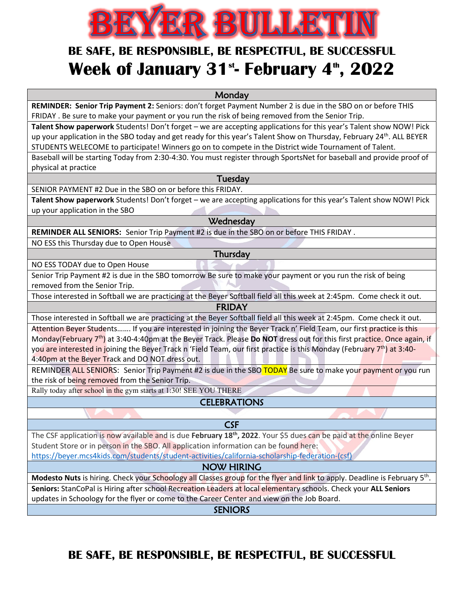# EYER BULLETIN

## **BE SAFE, BE RESPONSIBLE, BE RESPECTFUL, BE SUCCESSFUL Week of January 31<sup>st</sup>- February 4<sup>th</sup>, 2022**

**Monday** 

**REMINDER: Senior Trip Payment 2:** Seniors: don't forget Payment Number 2 is due in the SBO on or before THIS FRIDAY . Be sure to make your payment or you run the risk of being removed from the Senior Trip.

**Talent Show paperwork** Students! Don't forget – we are accepting applications for this year's Talent show NOW! Pick up your application in the SBO today and get ready for this year's Talent Show on Thursday, February 24<sup>th</sup>. ALL BEYER STUDENTS WELECOME to participate! Winners go on to compete in the District wide Tournament of Talent.

Baseball will be starting Today from 2:30-4:30. You must register through SportsNet for baseball and provide proof of physical at practice

Tuesday

SENIOR PAYMENT #2 Due in the SBO on or before this FRIDAY.

**Talent Show paperwork** Students! Don't forget – we are accepting applications for this year's Talent show NOW! Pick up your application in the SBO

**Wednesday** 

**REMINDER ALL SENIORS:** Senior Trip Payment #2 is due in the SBO on or before THIS FRIDAY .

NO ESS this Thursday due to Open House

**Thursday** 

NO ESS TODAY due to Open House

Senior Trip Payment #2 is due in the SBO tomorrow Be sure to make your payment or you run the risk of being removed from the Senior Trip.

Those interested in Softball we are practicing at the Beyer Softball field all this week at 2:45pm. Come check it out.

FRIDAY

Those interested in Softball we are practicing at the Beyer Softball field all this week at 2:45pm. Come check it out. Attention Beyer Students....... If you are interested in joining the Beyer Track n' Field Team, our first practice is this Monday(February 7th) at 3:40-4:40pm at the Beyer Track. Please **Do NOT** dress out for this first practice. Once again, if you are interested in joining the Beyer Track n 'Field Team, our first practice is this Monday (February 7<sup>th</sup>) at 3:40-4:40pm at the Beyer Track and DO NOT dress out.

REMINDER ALL SENIORS: Senior Trip Payment #2 is due in the SBO TODAY Be sure to make your payment or you run the risk of being removed from the Senior Trip.

Rally today after school in the gym starts at 1:30! SEE YOU THERE

#### **CELEBRATIONS**

### ì

CSF

The CSF application is now available and is due February 18<sup>th</sup>, 2022. Your \$5 dues can be paid at the online Beyer Student Store or in person in the SBO. All application information can be found here: [https://beyer.mcs4kids.com/students/student-activities/california-scholarship-federation-\(csf\)](https://beyer.mcs4kids.com/students/student-activities/california-scholarship-federation-(csf))

#### NOW HIRING

**Modesto Nuts** is hiring. Check your Schoology all Classes group for the flyer and link to apply. Deadline is February 5th. **Seniors:** StanCoPal is Hiring after school Recreation Leaders at local elementary schools. Check your **ALL Seniors**

updates in Schoology for the flyer or come to the Career Center and view on the Job Board.

**SENIORS** 

**BE SAFE, BE RESPONSIBLE, BE RESPECTFUL, BE SUCCESSFUL**